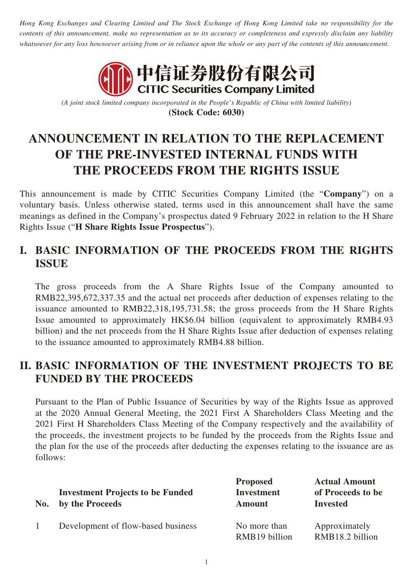*Hong Kong Exchanges and Clearing Limited and The Stock Exchange of Hong Kong Limited take no responsibility for the contents of this announcement, make no representation as to its accuracy or completeness and expressly disclaim any liability whatsoever for any loss howsoever arising from or in reliance upon the whole or any part of the contents of this announcement.*



*(A joint stock limited company incorporated in the People's Republic of China with limited liability)* **(Stock Code: 6030)**

## **ANNOUNCEMENT IN RELATION TO THE REPLACEMENT OF THE PRE-INVESTED INTERNAL FUNDS WITH THE PROCEEDS FROM THE RIGHTS ISSUE**

This announcement is made by CITIC Securities Company Limited (the "**Company**") on a voluntary basis. Unless otherwise stated, terms used in this announcement shall have the same meanings as defined in the Company's prospectus dated 9 February 2022 in relation to the H Share Rights Issue ("**H Share Rights Issue Prospectus**").

## **I. BASIC INFORMATION OF THE PROCEEDS FROM THE RIGHTS ISSUE**

The gross proceeds from the A Share Rights Issue of the Company amounted to RMB22,395,672,337.35 and the actual net proceeds after deduction of expenses relating to the issuance amounted to RMB22,318,195,731.58; the gross proceeds from the H Share Rights Issue amounted to approximately HK\$6.04 billion (equivalent to approximately RMB4.93 billion) and the net proceeds from the H Share Rights Issue after deduction of expenses relating to the issuance amounted to approximately RMB4.88 billion.

## **II. BASIC INFORMATION OF THE INVESTMENT PROJECTS TO BE FUNDED BY THE PROCEEDS**

Pursuant to the Plan of Public Issuance of Securities by way of the Rights Issue as approved at the 2020 Annual General Meeting, the 2021 First A Shareholders Class Meeting and the 2021 First H Shareholders Class Meeting of the Company respectively and the availability of the proceeds, the investment projects to be funded by the proceeds from the Rights Issue and the plan for the use of the proceeds after deducting the expenses relating to the issuance are as follows:

| No. | <b>Investment Projects to be Funded</b><br>by the Proceeds | <b>Proposed</b><br><b>Investment</b><br><b>Amount</b> | <b>Actual Amount</b><br>of Proceeds to be<br><b>Invested</b> |
|-----|------------------------------------------------------------|-------------------------------------------------------|--------------------------------------------------------------|
|     | Development of flow-based business                         | No more than<br>RMB19 billion                         | Approximately<br>RMB18.2 billion                             |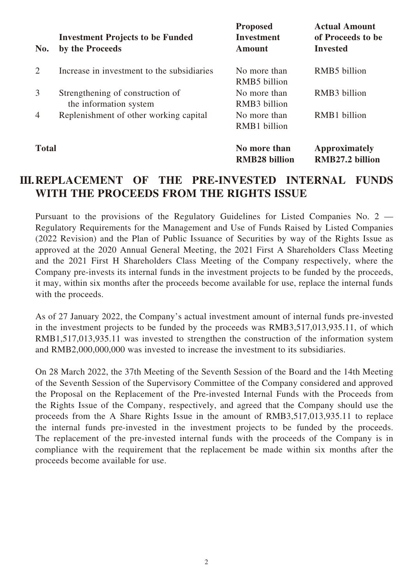| No.            | <b>Investment Projects to be Funded</b><br>by the Proceeds | <b>Proposed</b><br><b>Investment</b><br><b>Amount</b> | <b>Actual Amount</b><br>of Proceeds to be<br><b>Invested</b> |
|----------------|------------------------------------------------------------|-------------------------------------------------------|--------------------------------------------------------------|
| 2              | Increase in investment to the subsidiaries                 | No more than<br>RMB5 billion                          | RMB5 billion                                                 |
| 3              | Strengthening of construction of<br>the information system | No more than<br>RMB3 billion                          | RMB <sub>3</sub> billion                                     |
| $\overline{4}$ | Replenishment of other working capital                     | No more than<br><b>RMB1</b> billion                   | RMB1 billion                                                 |
| <b>Total</b>   |                                                            | No more than<br><b>RMB28 billion</b>                  | <b>Approximately</b><br>RMB27.2 billion                      |

## **III.REPLACEMENT OF THE PRE-INVESTED INTERNAL FUNDS WITH THE PROCEEDS FROM THE RIGHTS ISSUE**

Pursuant to the provisions of the Regulatory Guidelines for Listed Companies No. 2 — Regulatory Requirements for the Management and Use of Funds Raised by Listed Companies (2022 Revision) and the Plan of Public Issuance of Securities by way of the Rights Issue as approved at the 2020 Annual General Meeting, the 2021 First A Shareholders Class Meeting and the 2021 First H Shareholders Class Meeting of the Company respectively, where the Company pre-invests its internal funds in the investment projects to be funded by the proceeds, it may, within six months after the proceeds become available for use, replace the internal funds with the proceeds.

As of 27 January 2022, the Company's actual investment amount of internal funds pre-invested in the investment projects to be funded by the proceeds was RMB3,517,013,935.11, of which RMB1,517,013,935.11 was invested to strengthen the construction of the information system and RMB2,000,000,000 was invested to increase the investment to its subsidiaries.

On 28 March 2022, the 37th Meeting of the Seventh Session of the Board and the 14th Meeting of the Seventh Session of the Supervisory Committee of the Company considered and approved the Proposal on the Replacement of the Pre-invested Internal Funds with the Proceeds from the Rights Issue of the Company, respectively, and agreed that the Company should use the proceeds from the A Share Rights Issue in the amount of RMB3,517,013,935.11 to replace the internal funds pre-invested in the investment projects to be funded by the proceeds. The replacement of the pre-invested internal funds with the proceeds of the Company is in compliance with the requirement that the replacement be made within six months after the proceeds become available for use.